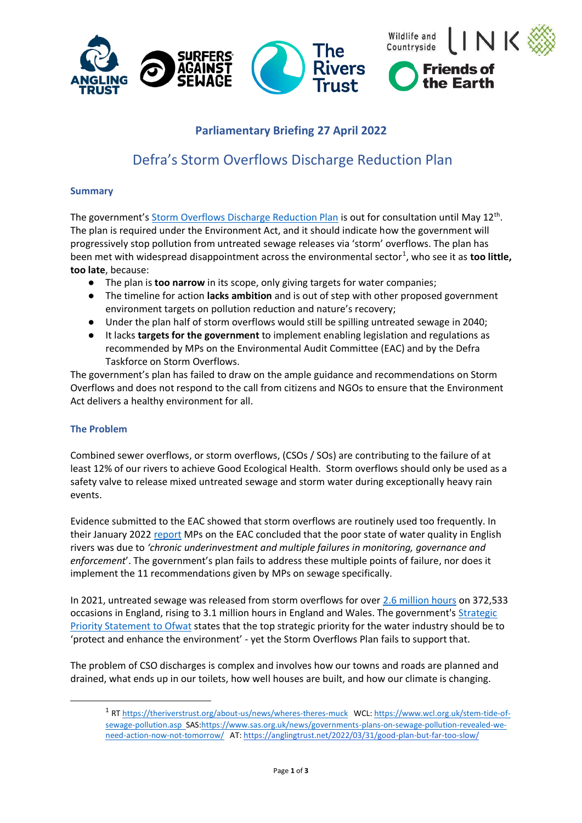

## **Parliamentary Briefing 27 April 2022**

# Defra's Storm Overflows Discharge Reduction Plan

## **Summary**

The government's [Storm Overflows Discharge Reduction Plan](https://consult.defra.gov.uk/water-industry/storm-overflows-discharge-reduction-plan/) is out for consultation until May 12<sup>th</sup>. The plan is required under the Environment Act, and it should indicate how the government will progressively stop pollution from untreated sewage releases via 'storm' overflows. The plan has been met with widespread disappointment across the environmental sector<sup>1</sup>, who see it as too little, **too late**, because:

- The plan is **too narrow** in its scope, only giving targets for water companies;
- The timeline for action **lacks ambition** and is out of step with other proposed government environment targets on pollution reduction and nature's recovery;
- Under the plan half of storm overflows would still be spilling untreated sewage in 2040;
- It lacks **targets for the government** to implement enabling legislation and regulations as recommended by MPs on the Environmental Audit Committee (EAC) and by the Defra Taskforce on Storm Overflows.

The government's plan has failed to draw on the ample guidance and recommendations on Storm Overflows and does not respond to the call from citizens and NGOs to ensure that the Environment Act delivers a healthy environment for all.

## **The Problem**

Combined sewer overflows, or storm overflows, (CSOs / SOs) are contributing to the failure of at least 12% of our rivers to achieve Good Ecological Health. Storm overflows should only be used as a safety valve to release mixed untreated sewage and storm water during exceptionally heavy rain events.

Evidence submitted to the EAC showed that storm overflows are routinely used too frequently. In their January 2022 [report](https://publications.parliament.uk/pa/cm5802/cmselect/cmenvaud/74/report.html) MPs on the EAC concluded that the poor state of water quality in English rivers was due to *'chronic underinvestment and multiple failures in monitoring, governance and enforcement*'. The government's plan fails to address these multiple points of failure, nor does it implement the 11 recommendations given by MPs on sewage specifically.

In 2021, untreated sewage was released from storm overflows for over [2.6 million hours](https://theriverstrust.org/sewage-map) on 372,533 occasions in England, rising to 3.1 million hours in England and Wales. The government's Strategic [Priority Statement to Ofwat](https://www.gov.uk/government/publications/strategic-policy-statement-to-ofwat-incorporating-social-and-environmental-guidance/february-2022-the-governments-strategic-priorities-for-ofwat) states that the top strategic priority for the water industry should be to 'protect and enhance the environment' - yet the Storm Overflows Plan fails to support that.

The problem of CSO discharges is complex and involves how our towns and roads are planned and drained, what ends up in our toilets, how well houses are built, and how our climate is changing.

<sup>&</sup>lt;sup>1</sup> R[T https://theriverstrust.org/about-us/news/wheres-theres-muck](https://theriverstrust.org/about-us/news/wheres-theres-muck) WCL: [https://www.wcl.org.uk/stem-tide-of](https://www.wcl.org.uk/stem-tide-of-sewage-pollution.asp)[sewage-pollution.asp](https://www.wcl.org.uk/stem-tide-of-sewage-pollution.asp) SAS[:https://www.sas.org.uk/news/governments-plans-on-sewage-pollution-revealed-we](https://www.sas.org.uk/news/governments-plans-on-sewage-pollution-revealed-we-need-action-now-not-tomorrow/)[need-action-now-not-tomorrow/](https://www.sas.org.uk/news/governments-plans-on-sewage-pollution-revealed-we-need-action-now-not-tomorrow/) AT[: https://anglingtrust.net/2022/03/31/good-plan-but-far-too-slow/](https://anglingtrust.net/2022/03/31/good-plan-but-far-too-slow/)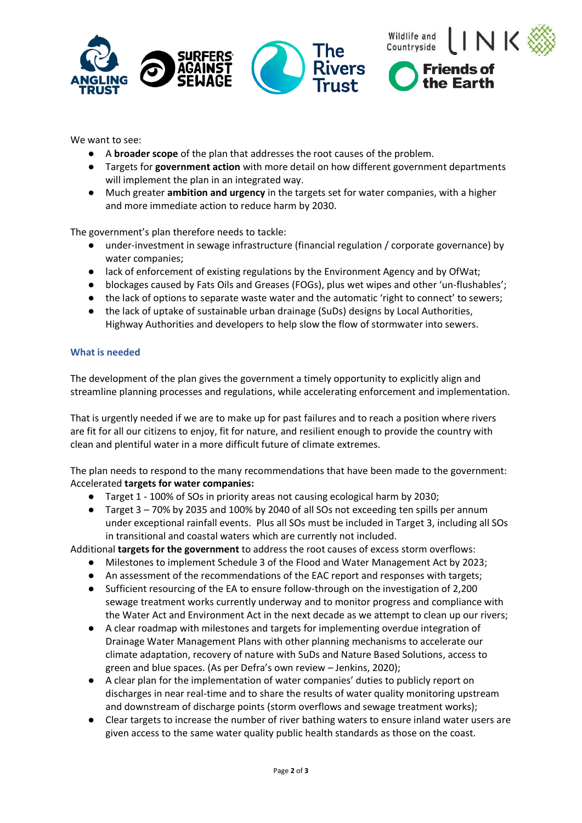



the Earth

We want to see:

- A **broader scope** of the plan that addresses the root causes of the problem.
- Targets for **government action** with more detail on how different government departments will implement the plan in an integrated way.
- Much greater **ambition and urgency** in the targets set for water companies, with a higher and more immediate action to reduce harm by 2030.

The government's plan therefore needs to tackle:

- under-investment in sewage infrastructure (financial regulation / corporate governance) by water companies;
- lack of enforcement of existing regulations by the Environment Agency and by OfWat;
- blockages caused by Fats Oils and Greases (FOGs), plus wet wipes and other 'un-flushables';
- the lack of options to separate waste water and the automatic 'right to connect' to sewers;
- the lack of uptake of sustainable urban drainage (SuDs) designs by Local Authorities, Highway Authorities and developers to help slow the flow of stormwater into sewers.

### **What is needed**

The development of the plan gives the government a timely opportunity to explicitly align and streamline planning processes and regulations, while accelerating enforcement and implementation.

That is urgently needed if we are to make up for past failures and to reach a position where rivers are fit for all our citizens to enjoy, fit for nature, and resilient enough to provide the country with clean and plentiful water in a more difficult future of climate extremes.

The plan needs to respond to the many recommendations that have been made to the government: Accelerated **targets for water companies:**

- Target 1 100% of SOs in priority areas not causing ecological harm by 2030;
- Target 3 70% by 2035 and 100% by 2040 of all SOs not exceeding ten spills per annum under exceptional rainfall events. Plus all SOs must be included in Target 3, including all SOs in transitional and coastal waters which are currently not included.

Additional **targets for the government** to address the root causes of excess storm overflows:

- Milestones to implement Schedule 3 of the Flood and Water Management Act by 2023;
- An assessment of the recommendations of the EAC report and responses with targets;
- Sufficient resourcing of the EA to ensure follow-through on the investigation of 2,200 sewage treatment works currently underway and to monitor progress and compliance with the Water Act and Environment Act in the next decade as we attempt to clean up our rivers;
- A clear roadmap with milestones and targets for implementing overdue integration of Drainage Water Management Plans with other planning mechanisms to accelerate our climate adaptation, recovery of nature with SuDs and Nature Based Solutions, access to green and blue spaces. (As per Defra's own review – Jenkins, 2020);
- A clear plan for the implementation of water companies' duties to publicly report on discharges in near real-time and to share the results of water quality monitoring upstream and downstream of discharge points (storm overflows and sewage treatment works);
- Clear targets to increase the number of river bathing waters to ensure inland water users are given access to the same water quality public health standards as those on the coast.